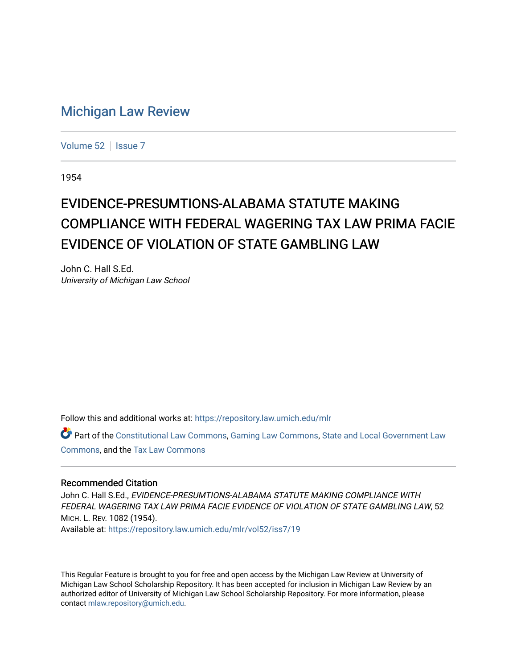## [Michigan Law Review](https://repository.law.umich.edu/mlr)

[Volume 52](https://repository.law.umich.edu/mlr/vol52) | [Issue 7](https://repository.law.umich.edu/mlr/vol52/iss7)

1954

## EVIDENCE-PRESUM TIONS-AL ABAMA STATUTE MAKING COMPLIANCE WITH FEDERAL WAGERING TAX LAW PRIMA FACIE EVIDENCE OF VIOLATION OF STATE GAMBLING LAW

John C. Hall S.Ed. University of Michigan Law School

Follow this and additional works at: [https://repository.law.umich.edu/mlr](https://repository.law.umich.edu/mlr?utm_source=repository.law.umich.edu%2Fmlr%2Fvol52%2Fiss7%2F19&utm_medium=PDF&utm_campaign=PDFCoverPages) 

Part of the [Constitutional Law Commons,](http://network.bepress.com/hgg/discipline/589?utm_source=repository.law.umich.edu%2Fmlr%2Fvol52%2Fiss7%2F19&utm_medium=PDF&utm_campaign=PDFCoverPages) [Gaming Law Commons](http://network.bepress.com/hgg/discipline/1117?utm_source=repository.law.umich.edu%2Fmlr%2Fvol52%2Fiss7%2F19&utm_medium=PDF&utm_campaign=PDFCoverPages), [State and Local Government Law](http://network.bepress.com/hgg/discipline/879?utm_source=repository.law.umich.edu%2Fmlr%2Fvol52%2Fiss7%2F19&utm_medium=PDF&utm_campaign=PDFCoverPages) [Commons](http://network.bepress.com/hgg/discipline/879?utm_source=repository.law.umich.edu%2Fmlr%2Fvol52%2Fiss7%2F19&utm_medium=PDF&utm_campaign=PDFCoverPages), and the [Tax Law Commons](http://network.bepress.com/hgg/discipline/898?utm_source=repository.law.umich.edu%2Fmlr%2Fvol52%2Fiss7%2F19&utm_medium=PDF&utm_campaign=PDFCoverPages)

## Recommended Citation

John C. Hall S.Ed., EVIDENCE-PRESUMTIONS-ALABAMA STATUTE MAKING COMPLIANCE WITH FEDERAL WAGERING TAX LAW PRIMA FACIE EVIDENCE OF VIOLATION OF STATE GAMBLING LAW, 52 MICH. L. REV. 1082 (1954). Available at: [https://repository.law.umich.edu/mlr/vol52/iss7/19](https://repository.law.umich.edu/mlr/vol52/iss7/19?utm_source=repository.law.umich.edu%2Fmlr%2Fvol52%2Fiss7%2F19&utm_medium=PDF&utm_campaign=PDFCoverPages) 

This Regular Feature is brought to you for free and open access by the Michigan Law Review at University of Michigan Law School Scholarship Repository. It has been accepted for inclusion in Michigan Law Review by an authorized editor of University of Michigan Law School Scholarship Repository. For more information, please contact [mlaw.repository@umich.edu](mailto:mlaw.repository@umich.edu).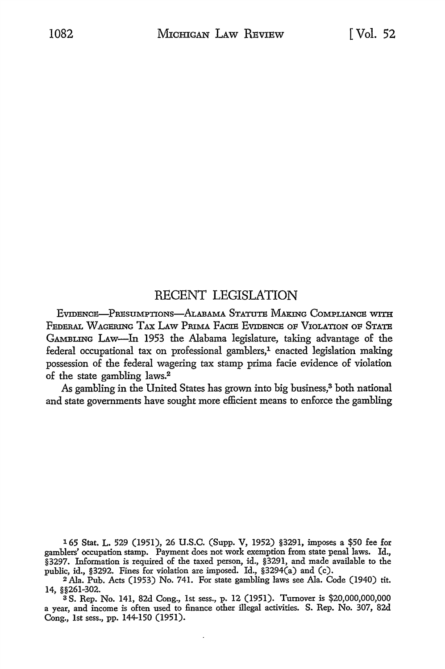## RECENT LEGISLATION

EVIDENCE-PRESUMPTIONS-ALABAMA STATUTE MAKING COMPLIANCE WITH FEDERAL WAGERING TAX LAW PRIMA FACIE EVIDENCE OF VIOLATION OF STATE GAMBLING LAw-In 1953 the Alabama legislature, taking advantage of the federal occupational tax on professional gamblers, $<sup>1</sup>$  enacted legislation making</sup> possession of the federal wagering tax stamp prima facie evidence of violation of the state gambling laws.<sup>2</sup>

As gambling in the United States has grown into big business,<sup>3</sup> both national and state governments have sought more efficient means to enforce the gambling

165 Stat. L. 529 (1951), 26 U.S.C. (Supp. V, 1952) §3291, imposes a \$50 fee for gamblers' occupation stamp. Payment does not work exemption from state penal laws. Id., §3297. Information is required of the taxed person, id., §3291, and made available to the public, id., §3292. Fines for violation are imposed. Id., §3294(a) and (c).

<sup>2</sup>Ala. Pub. Acts (1953) No. 741. For state gambling laws see Ala. Code (1940) tit. 14, §§261-302.

<sup>3</sup>S. Rep. No. 141, 82d Cong., 1st sess., p. 12 (1951). Turnover is \$20,000,000,000 a year, and income is often used to finance other illegal activities. S. Rep. No. 307, 82d Cong., 1st sess., pp. 144-150 (1951).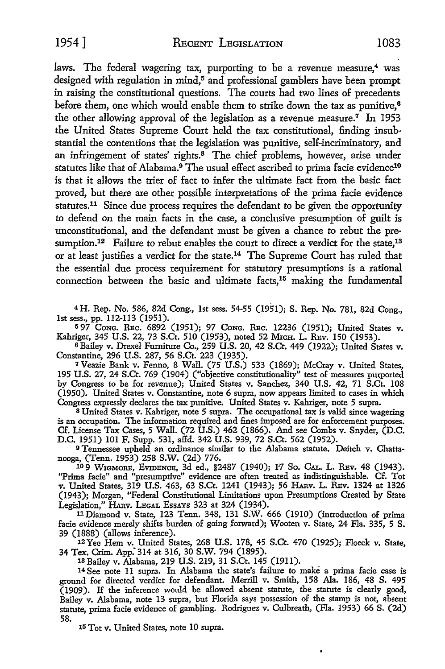laws. The federal wagering tax, purporting to be a revenue measure, $4$  was designed with regulation in mind,<sup>5</sup> and professional gamblers have been prompt in raising the constitutional questions. The courts had two lines of precedents before them, one which would enable them to strike down the tax as punitive,<sup>6</sup> the other allowing approval of the legislation as a revenue measure.<sup>7</sup> In 1953 the United States Supreme Court held the tax constitutional, finding insubstantial the contentions that the legislation was punitive, self-incriminatory, and an infringement of states' rights.<sup>8</sup> The chief problems, however, arise under statutes like that of Alabama.<sup>9</sup> The usual effect ascribed to prima facie evidence<sup>10</sup> is that it allows the trier of fact to infer the ultimate fact from the basic fact proved, but there are other possible interpretations of the prima facie evidence statutes.<sup>11</sup> Since due process requires the defendant to be given the opportunity to defend on the main facts in the case, a conclusive presumption of guilt is unconstitutional, and the defendant must be given a chance to rebut the presumption.<sup>12</sup> Failure to rebut enables the court to direct a verdict for the state,<sup>13</sup> or at least justifies a verdict for the state.14 The Supreme Court has ruled that the essential due process requirement for statutory presumptions is a rational connection between the basic and ultimate facts,<sup>15</sup> making the fundamental

4 H. Rep. No. 586, 82d Cong., 1st sess. 54-55 (1951); S. Rep. No. 781, 82d Cong., 1st sess., pp. 112-113 (1951).

<sup>5</sup>97 CoNG. REc. 6892 (1951); 97 CoNG. REc. 12236 (1951); United States v. Kahriger, 345 U.S. 22, 73 S.Ct. 510 (1953), noted 52 MxcH. L. REv. 150 (1953).

<sup>6</sup>Bailey v. Drexel Furniture Co., 259 U.S. 20, 42 S.Ct. 449 (1922); United States v. Constantine, 296 U.S. 287, 56 S.Ct. 223 (1935).

<sup>7</sup>Veazie Bank v. Fenno, 8 Wall. (75 U.S.) 533 (1869); McCray v. United States, 195 U.S. 27, 24 S.Ct. 769 (1904) ("objective constitutionality" test of measures purported by Congress to be for revenue); United States v. Sanchez, 340 U.S. 42, 71 S.Ct. 108 (1950). United States v. Constantine, note 6 supra, now appears limited to cases in which Congress expressly declares the tax punitive. United States v. Kahriger, note 5 supra.

<sup>8</sup>United States v. Kahriger, note 5 supra. The occupational tax is valid since wagering is an occupation. The information required and fines imposed are for enforcement purposes. Cf. License Tax Cases, 5 Wall. (72 U.S.) 462 (1866). And see Combs v. Snyder, (D.C. D.C. 1951) 101 F. Supp. 531, affd. 342 U.S. 939, 72 S.Ct. 562 (1952).

9 Tennessee upheld an ordinance similar to the Alabama statute. Deitch v. Chatta-

109 WIGMORE, EVIDENCE, 3d ed., §2487 (1940); 17 So. CAL. L. REV. 48 (1943). "Prima facie" and "presumptive" evidence are often treated as indistinguishable. Cf. Tot v. United States, 319 U.S. 463, 63 S.Ct. 1241 (1943); 56 HAnv. L. REv. 1324 at 1326 (1943); Morgan, "Federal Constitutional Limitations upon Presumptions Created by State Legislation," HAnv. LEGAL EssAYS 323 at 324 (1934).

<sup>11</sup>Diamond v. State, 123 Tenn. 348, 131 S.W. 666 (1910) (introduction of prima facie evidence merely shifts burden of going forward); Wooten v. State, 24 Fla. 335, 5 S. 39 (1888) (allows inference).

I2Yec Hem v. United States, 268 U.S. 178, 45 S.Ct. 470 (1925); Floeck v. State, 34 Tex. Crim. App:314 at 316, 30 S.W. 794 (1895).

1s Bailey v. Alabama, 219 U.S. 219, 31 S.Ct. 145 (1911).

<sup>14</sup>See note 11 supra. In Alabama the state's failure to make a prima facie case is ground for directed verdict for defendant. Merrill v. Smith, 158 Ala. 186, 48 S. 495 (1909). If the inference would be allowed absent statute, the statute is clearly good, Bailey v. Alabama, note 13 supra, but Florida says possession of the stamp is not, absent statute, prima facie evidence of gambling. Rodriguez v. Culbreath, (Fla. 1953) 66 S. (2d) 58. 15 Tot v. United States, note 10 supra.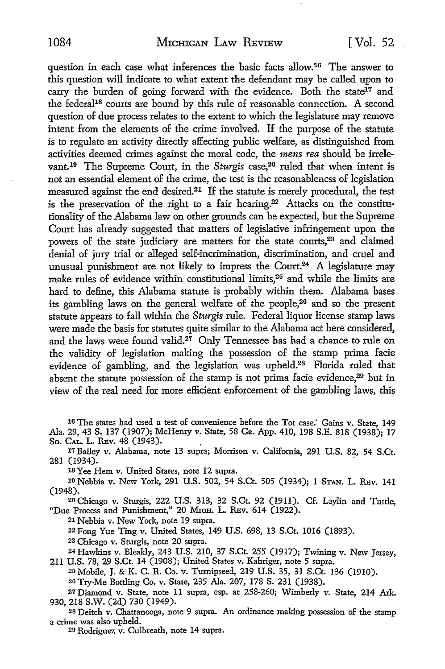question in each case what inferences the basic facts allow.16 The answer *to*  this question will indicate to what extent the defendant may be called upon to carry the burden of going forward with the evidence. Both the state<sup>17</sup> and the federal18 courts are bound by this rule of reasonable connection. A second question of due process relates to the extent *to* which the legislature may remove intent from the elements of the crime involved. If the purpose of the statute is to regulate an activity directly affecting public welfare, as distinguished from activities deemed crimes against the moral code, the *mens rea* should be irrelevant.19 The Supreme Court, in the *Sturgis* case,20 ruled that when intent is not an essential element of the crime, the test is the reasonableness of legislation measured against the end desired.<sup>21</sup> If the statute is merely procedural, the test is the preservation of the right to a fair hearing.<sup>22</sup> Attacks on the constitutionality of the Alabama law on other grounds can be expected, but the Supreme Court has already suggested that matters of legislative infringement upon the powers of the state judiciary are matters for the state courts,<sup>23</sup> and claimed denial of jury trial or alleged self-incrimination, discrimination, and cruel and unusual punishment are not likely to impress the Court.<sup>24</sup> A legislature may make rules of evidence within constitutional limits,25 and while the limits are hard to define, this Alabama statute is probably within them. Alabama bases its gambling laws on the general welfare of the people,26 and so the present statute appears to fall within the *Sturgis* rule. Federal liquor license stamp laws were made the basis for statutes quite similar to the Alabama act here considered, and the laws were found valid.<sup>27</sup> Only Tennessee has had a chance to rule on the validity of legislation making the possession of the stamp prima facie evidence of gambling, and the legislation was upheld.28 Florida ruled that absent the statute possession of the stamp is not prima facie evidence,<sup>29</sup> but in view of the real need for more efficient enforcement of the gambling laws, this

- 16 The states had used a test of convenience before the Tot *case:* Gains v. State, 149 Ala. 29, 43 S. 137 (1907); McHenry v. State, 58 Ga. App. 410, 198 S.E. 818 (1938); 17 So. CAL. L. REv. 48 (1943).
- 17Bailey v. Alabama, note 13 supra; Morrison v. California, 291 U.S. 82, 54 S.Ct. 281 (1934). .

18 Yee Hem v. United States, note 12 supra.

19 Nebbia v. New York, 291 U.S. 502, 54 S.Ct. 505 (1934); 1 STAN. L. REv. 141 (1948).

20 Chicago v. Sturgis, 222 U.S. 313, 32 S.Ct. 92 (1911). Cf. Laylin and Tuttle, "Due Process and Punishment," 20 MICH. L. REV. 614 (1922).

21 Nebbia v. New York, note 19 supra.

22 Fong Yue Ting v. United States, 149 U.S. 698, 13 S.Ct. 1016 (1893).

23 Chicago v. Sturgis, note 20 supra.

24 Hawkins v. Bleakly, 243 U.S. 210, 37 S.Ct. 255 (1917); Twining v. New Jersey, 211 U.S. 78, 29 S.Ct. 14 (1908); United States v. Kahriger, note 5 supra.

25 Mobile, J. & K. C. R. Co. v. Turnipseed, 219 U.S. 35, 31 S.Ct. 136 (1910). 26 Try-Me Bottling Co. v. State, 235 Ala. 207, 178 S. 231 (1938).

<sup>27</sup>Diamond v. State, note 11 supra, esp. at 258-260; Wimberly v. State, 214 Ark. 930, 218 S.W. (2d) 730 (1949).

<sup>28</sup> Deitch v. Chattanooga, note 9 supra. An ordinance making possession of the stamp a crime was also upheld.

<sup>20</sup> Rodriguez v. Culbreath, note 14 supra.